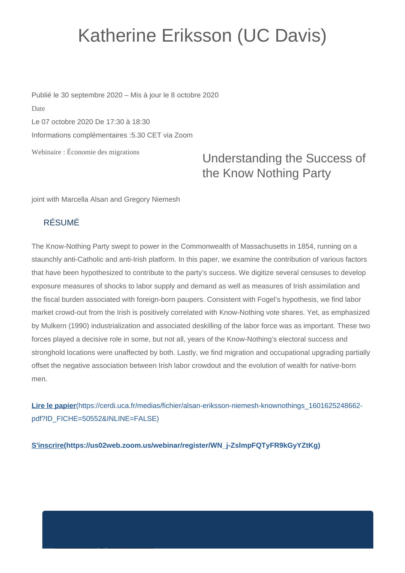## Katherine Eriksson (UC Davis)

Webinaire : Économie des migrations Publié le 30 septembre 2020 – Mis à jour le 8 octobre 2020 Date Le 07 octobre 2020 De 17:30 à 18:30 Informations complémentaires :5.30 CET via Zoom

## Understanding the Success of the Know Nothing Party

joint with Marcella Alsan and Gregory Niemesh

## RÉSUMÉ

The Know-Nothing Party swept to power in the Commonwealth of Massachusetts in 1854, running on a staunchly anti-Catholic and anti-Irish platform. In this paper, we examine the contribution of various factors that have been hypothesized to contribute to the party's success. We digitize several censuses to develop exposure measures of shocks to labor supply and demand as well as measures of Irish assimilation and the fiscal burden associated with foreign-born paupers. Consistent with Fogel's hypothesis, we find labor market crowd-out from the Irish is positively correlated with Know-Nothing vote shares. Yet, as emphasized by Mulkern (1990) industrialization and associated deskilling of the labor force was as important. These two forces played a decisive role in some, but not all, years of the Know-Nothing's electoral success and stronghold locations were unaffected by both. Lastly, we find migration and occupational upgrading partially offset the negative association between Irish labor crowdout and the evolution of wealth for native-born men.

**Lire le papier**[\(https://cerdi.uca.fr/medias/fichier/alsan-eriksson-niemesh-knownothings\\_1601625248662](https://cerdi.uca.fr/medias/fichier/alsan-eriksson-niemesh-knownothings_1601625248662-pdf?ID_FICHE=50552&INLINE=FALSE) [pdf?ID\\_FICHE=50552&INLINE=FALSE\)](https://cerdi.uca.fr/medias/fichier/alsan-eriksson-niemesh-knownothings_1601625248662-pdf?ID_FICHE=50552&INLINE=FALSE)

**[S'inscrire\(https://us02web.zoom.us/webinar/register/WN\\_j-ZslmpFQTyFR9kGyYZtKg\)](https://us02web.zoom.us/webinar/register/WN_j-ZslmpFQTyFR9kGyYZtKg)**